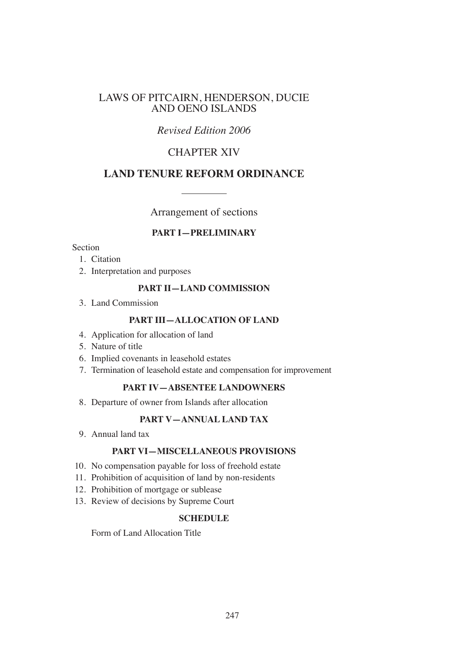# LAWS OF PITCAIRN, HENDERSON, DUCIE AND OENO ISLANDS

# *Revised Edition 2006*

# CHAPTER XIV

# **LAND TENURE REFORM ORDINANCE**

Arrangement of sections

### **PART I—PRELIMINARY**

### Section

- 1. Citation
- 2. Interpretation and purposes

### **PART II—LAND COMMISSION**

3. Land Commission

## **PART III—ALLOCATION OF LAND**

- 4. Application for allocation of land
- 5. Nature of title
- 6. Implied covenants in leasehold estates
- 7. Termination of leasehold estate and compensation for improvement

# **PART IV—ABSENTEE LANDOWNERS**

8. Departure of owner from Islands after allocation

# **PART V—ANNUAL LAND TAX**

9. Annual land tax

#### **PART VI—MISCELLANEOUS PROVISIONS**

- 10. No compensation payable for loss of freehold estate
- 11. Prohibition of acquisition of land by non-residents
- 12. Prohibition of mortgage or sublease
- 13. Review of decisions by Supreme Court

#### **SCHEDULE**

Form of Land Allocation Title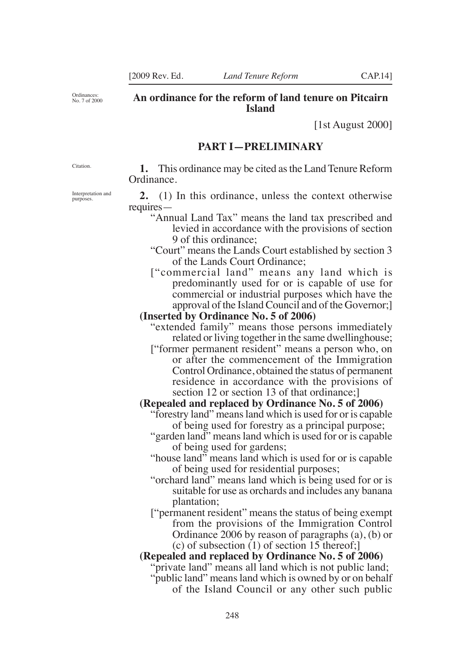Ordinances: No. 7 of 2000

### **An ordinance for the reform of land tenure on Pitcairn Island**

[1st August 2000]

### **PART I—PRELIMINARY**

Citation.

Interpretation and purposes.

**1.** This ordinance may be cited as the Land Tenure Reform Ordinance.

**2.** (1) In this ordinance, unless the context otherwise requires—

- "Annual Land Tax" means the land tax prescribed and levied in accordance with the provisions of section 9 of this ordinance;
- "Court" means the Lands Court established by section 3 of the Lands Court Ordinance;
- ["commercial land" means any land which is predominantly used for or is capable of use for commercial or industrial purposes which have the approval of the Island Council and of the Governor;]

#### **(Inserted by Ordinance No. 5 of 2006)**

"extended family" means those persons immediately related or living together in the same dwellinghouse;

["former permanent resident" means a person who, on or after the commencement of the Immigration Control Ordinance, obtained the status of permanent residence in accordance with the provisions of section 12 or section 13 of that ordinance;

### **(Repealed and replaced by Ordinance No. 5 of 2006)**

- "forestry land" means land which is used for or is capable of being used for forestry as a principal purpose;
- "garden land" means land which is used for or is capable of being used for gardens;
- "house land" means land which is used for or is capable of being used for residential purposes;
- "orchard land" means land which is being used for or is suitable for use as orchards and includes any banana plantation;
- ["permanent resident" means the status of being exempt from the provisions of the Immigration Control Ordinance 2006 by reason of paragraphs (a), (b) or (c) of subsection (1) of section 15 thereof;]

#### **(Repealed and replaced by Ordinance No. 5 of 2006)**

"private land" means all land which is not public land;

"public land" means land which is owned by or on behalf of the Island Council or any other such public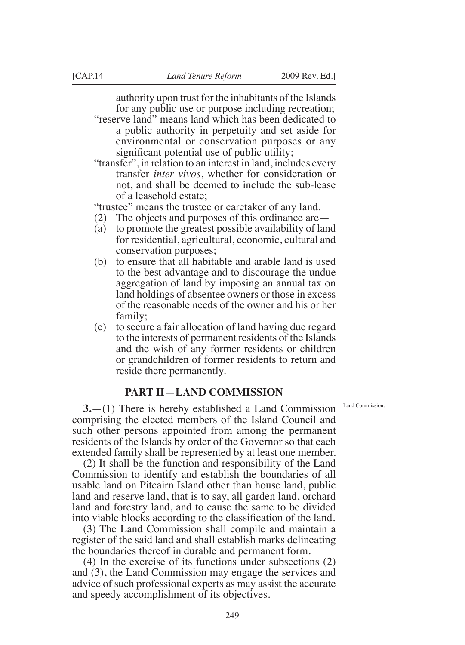authority upon trust for the inhabitants of the Islands for any public use or purpose including recreation;

"reserve land" means land which has been dedicated to a public authority in perpetuity and set aside for environmental or conservation purposes or any significant potential use of public utility;

"transfer", in relation to an interest in land, includes every transfer *inter vivos*, whether for consideration or not, and shall be deemed to include the sub-lease of a leasehold estate;

"trustee" means the trustee or caretaker of any land.

- (2) The objects and purposes of this ordinance are—
- (a) to promote the greatest possible availability of land for residential, agricultural, economic, cultural and conservation purposes;
- (b) to ensure that all habitable and arable land is used to the best advantage and to discourage the undue aggregation of land by imposing an annual tax on land holdings of absentee owners or those in excess of the reasonable needs of the owner and his or her family;
- (c) to secure a fair allocation of land having due regard to the interests of permanent residents of the Islands and the wish of any former residents or children or grandchildren of former residents to return and reside there permanently.

# **PART II—LAND COMMISSION**

**3.**—(1) There is hereby established a Land Commission comprising the elected members of the Island Council and such other persons appointed from among the permanent residents of the Islands by order of the Governor so that each extended family shall be represented by at least one member.

(2) It shall be the function and responsibility of the Land Commission to identify and establish the boundaries of all usable land on Pitcairn Island other than house land, public land and reserve land, that is to say, all garden land, orchard land and forestry land, and to cause the same to be divided into viable blocks according to the classification of the land.

(3) The Land Commission shall compile and maintain a register of the said land and shall establish marks delineating the boundaries thereof in durable and permanent form.

(4) In the exercise of its functions under subsections (2) and (3), the Land Commission may engage the services and advice of such professional experts as may assist the accurate and speedy accomplishment of its objectives.

Land Commission.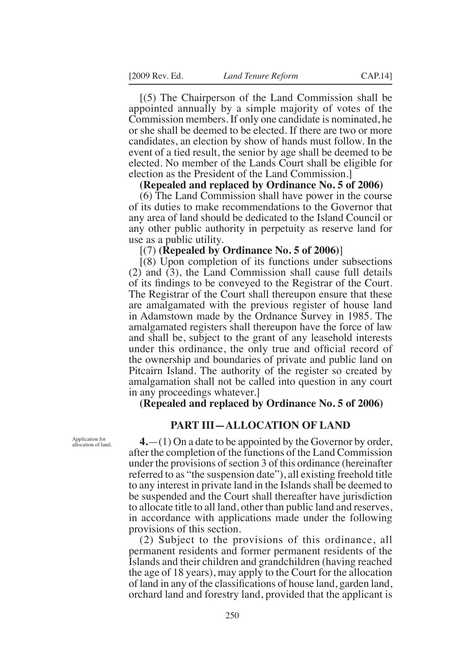[(5) The Chairperson of the Land Commission shall be appointed annually by a simple majority of votes of the Commission members. If only one candidate is nominated, he or she shall be deemed to be elected. If there are two or more candidates, an election by show of hands must follow. In the event of a tied result, the senior by age shall be deemed to be elected. No member of the Lands Court shall be eligible for election as the President of the Land Commission.]

#### **(Repealed and replaced by Ordinance No. 5 of 2006)**

(6) The Land Commission shall have power in the course of its duties to make recommendations to the Governor that any area of land should be dedicated to the Island Council or any other public authority in perpetuity as reserve land for use as a public utility.

#### [(7) **(Repealed by Ordinance No. 5 of 2006)**]

[(8) Upon completion of its functions under subsections (2) and (3), the Land Commission shall cause full details of its indings to be conveyed to the Registrar of the Court. The Registrar of the Court shall thereupon ensure that these are amalgamated with the previous register of house land in Adamstown made by the Ordnance Survey in 1985. The amalgamated registers shall thereupon have the force of law and shall be, subject to the grant of any leasehold interests under this ordinance, the only true and oficial record of the ownership and boundaries of private and public land on Pitcairn Island. The authority of the register so created by amalgamation shall not be called into question in any court in any proceedings whatever.]

**(Repealed and replaced by Ordinance No. 5 of 2006)**

# **PART III—ALLOCATION OF LAND**

Application for allocation of land.

**4.**—(1) On a date to be appointed by the Governor by order, after the completion of the functions of the Land Commission under the provisions of section 3 of this ordinance (hereinafter referred to as "the suspension date"), all existing freehold title to any interest in private land in the Islands shall be deemed to be suspended and the Court shall thereafter have jurisdiction to allocate title to all land, other than public land and reserves, in accordance with applications made under the following provisions of this section.

(2) Subject to the provisions of this ordinance, all permanent residents and former permanent residents of the Islands and their children and grandchildren (having reached the age of 18 years), may apply to the Court for the allocation of land in any of the classifications of house land, garden land, orchard land and forestry land, provided that the applicant is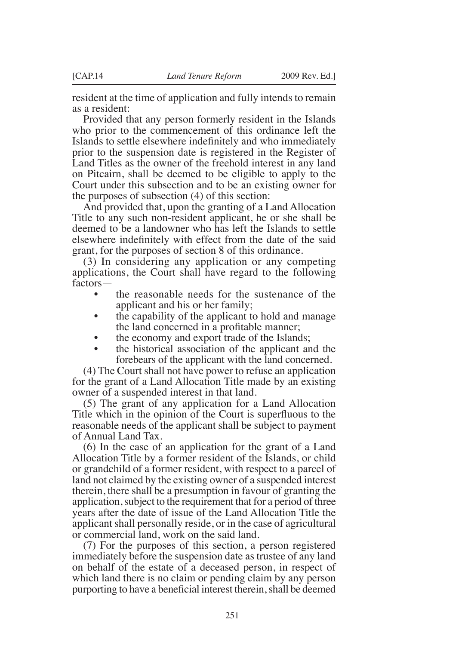resident at the time of application and fully intends to remain as a resident:

Provided that any person formerly resident in the Islands who prior to the commencement of this ordinance left the Islands to settle elsewhere indefinitely and who immediately prior to the suspension date is registered in the Register of Land Titles as the owner of the freehold interest in any land on Pitcairn, shall be deemed to be eligible to apply to the Court under this subsection and to be an existing owner for the purposes of subsection (4) of this section:

And provided that, upon the granting of a Land Allocation Title to any such non-resident applicant, he or she shall be deemed to be a landowner who has left the Islands to settle elsewhere indefinitely with effect from the date of the said grant, for the purposes of section 8 of this ordinance.

(3) In considering any application or any competing applications, the Court shall have regard to the following factors—

- the reasonable needs for the sustenance of the applicant and his or her family;
- the capability of the applicant to hold and manage the land concerned in a profitable manner;
- the economy and export trade of the Islands;
- the historical association of the applicant and the forebears of the applicant with the land concerned.

(4) The Court shall not have power to refuse an application for the grant of a Land Allocation Title made by an existing owner of a suspended interest in that land.

(5) The grant of any application for a Land Allocation Title which in the opinion of the Court is superfluous to the reasonable needs of the applicant shall be subject to payment of Annual Land Tax.

(6) In the case of an application for the grant of a Land Allocation Title by a former resident of the Islands, or child or grandchild of a former resident, with respect to a parcel of land not claimed by the existing owner of a suspended interest therein, there shall be a presumption in favour of granting the application, subject to the requirement that for a period of three years after the date of issue of the Land Allocation Title the applicant shall personally reside, or in the case of agricultural or commercial land, work on the said land.

(7) For the purposes of this section, a person registered immediately before the suspension date as trustee of any land on behalf of the estate of a deceased person, in respect of which land there is no claim or pending claim by any person purporting to have a beneficial interest therein, shall be deemed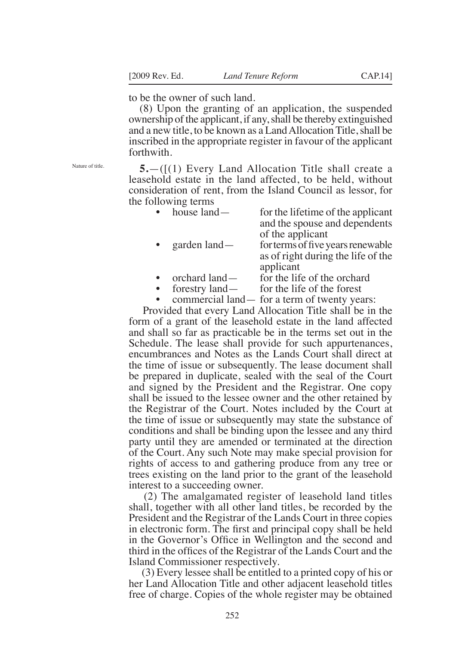to be the owner of such land.

(8) Upon the granting of an application, the suspended ownership of the applicant, if any, shall be thereby extinguished and a new title, to be known as a Land Allocation Title, shall be inscribed in the appropriate register in favour of the applicant forthwith.

Nature of title.

**5.**—([(1) Every Land Allocation Title shall create a leasehold estate in the land affected, to be held, without consideration of rent, from the Island Council as lessor, for the following terms

| $\bullet$ | house land—    | for the lifetime of the applicant  |
|-----------|----------------|------------------------------------|
|           |                | and the spouse and dependents      |
|           |                | of the applicant                   |
| $\bullet$ | garden $land-$ | for terms of five years renewable  |
|           |                | as of right during the life of the |
|           |                | applicant                          |
|           | orchard land   | for the life of the orchard        |

- orchard land— for the life of the orchard
- forestry land— for the life of the forest
- commercial land— for a term of twenty years:

 Provided that every Land Allocation Title shall be in the form of a grant of the leasehold estate in the land affected and shall so far as practicable be in the terms set out in the Schedule. The lease shall provide for such appurtenances, encumbrances and Notes as the Lands Court shall direct at the time of issue or subsequently. The lease document shall be prepared in duplicate, sealed with the seal of the Court and signed by the President and the Registrar. One copy shall be issued to the lessee owner and the other retained by the Registrar of the Court. Notes included by the Court at the time of issue or subsequently may state the substance of conditions and shall be binding upon the lessee and any third party until they are amended or terminated at the direction of the Court. Any such Note may make special provision for rights of access to and gathering produce from any tree or trees existing on the land prior to the grant of the leasehold interest to a succeeding owner.

 (2) The amalgamated register of leasehold land titles shall, together with all other land titles, be recorded by the President and the Registrar of the Lands Court in three copies in electronic form. The first and principal copy shall be held in the Governor's Ofice in Wellington and the second and third in the ofices of the Registrar of the Lands Court and the Island Commissioner respectively.

 (3) Every lessee shall be entitled to a printed copy of his or her Land Allocation Title and other adjacent leasehold titles free of charge. Copies of the whole register may be obtained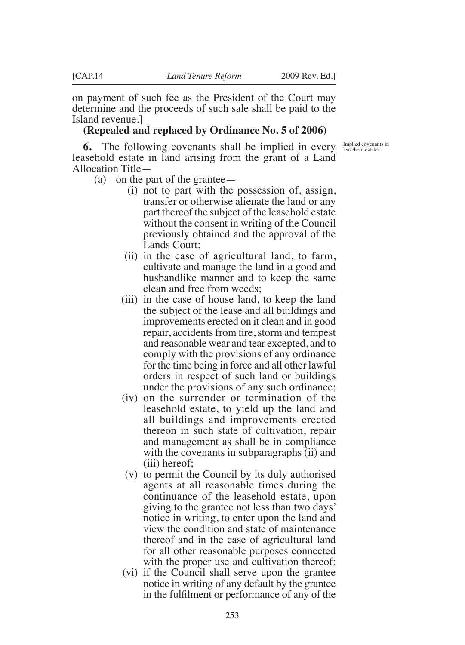on payment of such fee as the President of the Court may determine and the proceeds of such sale shall be paid to the Island revenue.]

#### **(Repealed and replaced by Ordinance No. 5 of 2006)**

**6.** The following covenants shall be implied in every leasehold estate in land arising from the grant of a Land Allocation Title—

- (a) on the part of the grantee—
	- (i) not to part with the possession of, assign, transfer or otherwise alienate the land or any part thereof the subject of the leasehold estate without the consent in writing of the Council previously obtained and the approval of the Lands Court;
	- (ii) in the case of agricultural land, to farm, cultivate and manage the land in a good and husbandlike manner and to keep the same clean and free from weeds;
	- (iii) in the case of house land, to keep the land the subject of the lease and all buildings and improvements erected on it clean and in good repair, accidents from fire, storm and tempest and reasonable wear and tear excepted, and to comply with the provisions of any ordinance for the time being in force and all other lawful orders in respect of such land or buildings under the provisions of any such ordinance;
	- (iv) on the surrender or termination of the leasehold estate, to yield up the land and all buildings and improvements erected thereon in such state of cultivation, repair and management as shall be in compliance with the covenants in subparagraphs (ii) and (iii) hereof;
	- (v) to permit the Council by its duly authorised agents at all reasonable times during the continuance of the leasehold estate, upon giving to the grantee not less than two days' notice in writing, to enter upon the land and view the condition and state of maintenance thereof and in the case of agricultural land for all other reasonable purposes connected with the proper use and cultivation thereof;
	- (vi) if the Council shall serve upon the grantee notice in writing of any default by the grantee in the fulfilment or performance of any of the

Implied covenants in leasehold estates.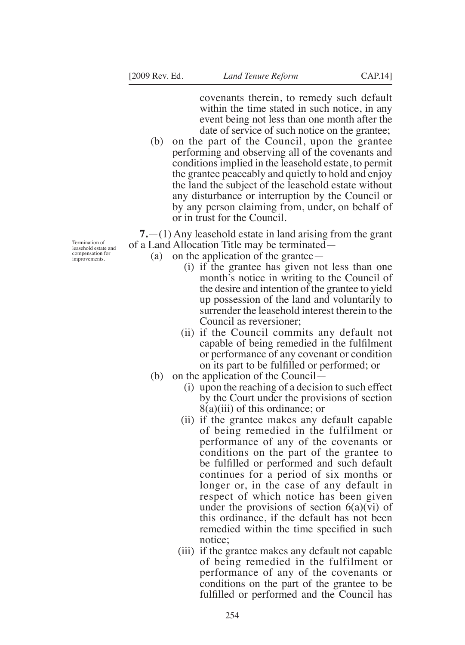covenants therein, to remedy such default within the time stated in such notice, in any event being not less than one month after the date of service of such notice on the grantee;

(b) on the part of the Council, upon the grantee performing and observing all of the covenants and conditions implied in the leasehold estate, to permit the grantee peaceably and quietly to hold and enjoy the land the subject of the leasehold estate without any disturbance or interruption by the Council or by any person claiming from, under, on behalf of or in trust for the Council.

**7.**—(1) Any leasehold estate in land arising from the grant of a Land Allocation Title may be terminated—

- (a) on the application of the grantee—
	- (i) if the grantee has given not less than one month's notice in writing to the Council of the desire and intention of the grantee to yield up possession of the land and voluntarily to surrender the leasehold interest therein to the Council as reversioner;
	- (ii) if the Council commits any default not capable of being remedied in the fulilment or performance of any covenant or condition on its part to be fulilled or performed; or
	- (b) on the application of the Council—
		- (i) upon the reaching of a decision to such effect by the Court under the provisions of section 8(a)(iii) of this ordinance; or
		- (ii) if the grantee makes any default capable of being remedied in the fulfilment or performance of any of the covenants or conditions on the part of the grantee to be fulfilled or performed and such default continues for a period of six months or longer or, in the case of any default in respect of which notice has been given under the provisions of section  $6(a)(vi)$  of this ordinance, if the default has not been remedied within the time specified in such notice;
		- (iii) if the grantee makes any default not capable of being remedied in the fulfilment or performance of any of the covenants or conditions on the part of the grantee to be fulfilled or performed and the Council has

Termination of leasehold estate and compensation for improvements.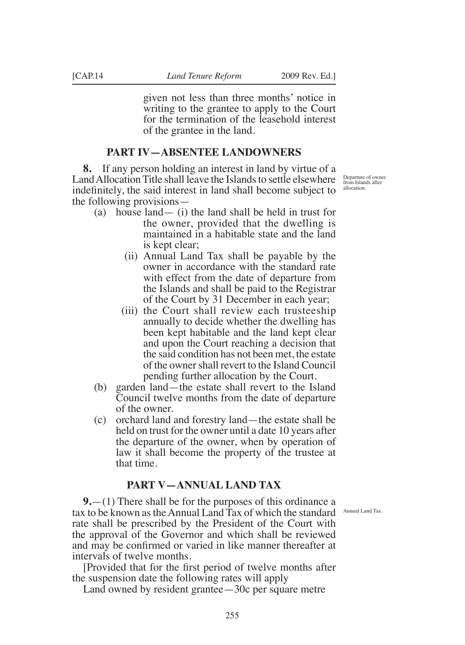given not less than three months' notice in writing to the grantee to apply to the Court for the termination of the leasehold interest of the grantee in the land.

# **PART IV—ABSENTEE LANDOWNERS**

**8.** If any person holding an interest in land by virtue of a Land Allocation Title shall leave the Islands to settle elsewhere indefinitely, the said interest in land shall become subject to the following provisions—

- (a) house land— (i) the land shall be held in trust for the owner, provided that the dwelling is maintained in a habitable state and the land is kept clear;
	- (ii) Annual Land Tax shall be payable by the owner in accordance with the standard rate with effect from the date of departure from the Islands and shall be paid to the Registrar of the Court by 31 December in each year;
	- (iii) the Court shall review each trusteeship annually to decide whether the dwelling has been kept habitable and the land kept clear and upon the Court reaching a decision that the said condition has not been met, the estate of the owner shall revert to the Island Council pending further allocation by the Court.
- (b) garden land—the estate shall revert to the Island Council twelve months from the date of departure of the owner.
- (c) orchard land and forestry land—the estate shall be held on trust for the owner until a date 10 years after the departure of the owner, when by operation of law it shall become the property of the trustee at that time.

# **PART V—ANNUAL LAND TAX**

**9.**—(1) There shall be for the purposes of this ordinance a tax to be known as the Annual Land Tax of which the standard Annual Land Tax.rate shall be prescribed by the President of the Court with the approval of the Governor and which shall be reviewed and may be confirmed or varied in like manner thereafter at intervals of twelve months.

[Provided that for the irst period of twelve months after the suspension date the following rates will apply

Land owned by resident grantee—30c per square metre

Departure of owner from Islands after allocation.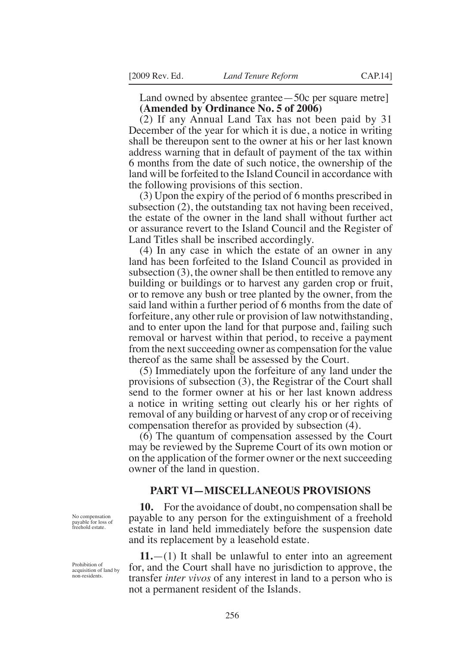Land owned by absentee grantee—50c per square metre] **(Amended by Ordinance No. 5 of 2006)**

(2) If any Annual Land Tax has not been paid by 31 December of the year for which it is due, a notice in writing shall be thereupon sent to the owner at his or her last known address warning that in default of payment of the tax within 6 months from the date of such notice, the ownership of the land will be forfeited to the Island Council in accordance with the following provisions of this section.

(3) Upon the expiry of the period of 6 months prescribed in subsection (2), the outstanding tax not having been received, the estate of the owner in the land shall without further act or assurance revert to the Island Council and the Register of Land Titles shall be inscribed accordingly.

(4) In any case in which the estate of an owner in any land has been forfeited to the Island Council as provided in subsection (3), the owner shall be then entitled to remove any building or buildings or to harvest any garden crop or fruit, or to remove any bush or tree planted by the owner, from the said land within a further period of 6 months from the date of forfeiture, any other rule or provision of law notwithstanding, and to enter upon the land for that purpose and, failing such removal or harvest within that period, to receive a payment from the next succeeding owner as compensation for the value thereof as the same shall be assessed by the Court.

(5) Immediately upon the forfeiture of any land under the provisions of subsection (3), the Registrar of the Court shall send to the former owner at his or her last known address a notice in writing setting out clearly his or her rights of removal of any building or harvest of any crop or of receiving compensation therefor as provided by subsection (4).

(6) The quantum of compensation assessed by the Court may be reviewed by the Supreme Court of its own motion or on the application of the former owner or the next succeeding owner of the land in question.

#### **PART VI—MISCELLANEOUS PROVISIONS**

**10.** For the avoidance of doubt, no compensation shall be payable to any person for the extinguishment of a freehold estate in land held immediately before the suspension date and its replacement by a leasehold estate.

**11.**—(1) It shall be unlawful to enter into an agreement for, and the Court shall have no jurisdiction to approve, the transfer *inter vivos* of any interest in land to a person who is not a permanent resident of the Islands.

No compensation payable for loss of freehold estate.

Prohibition of acquisition of land by non-residents.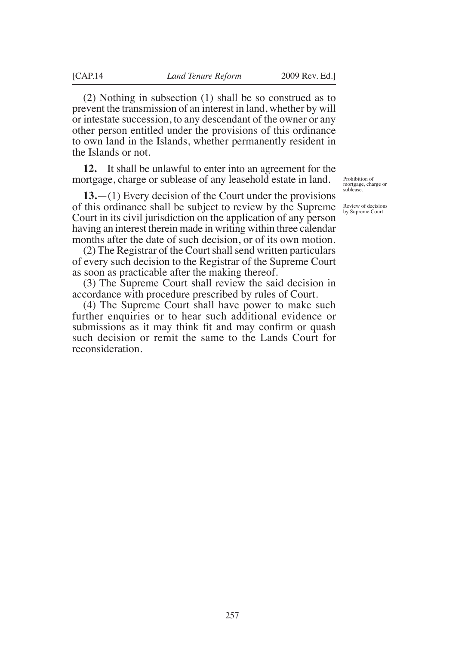(2) Nothing in subsection (1) shall be so construed as to prevent the transmission of an interest in land, whether by will or intestate succession, to any descendant of the owner or any other person entitled under the provisions of this ordinance to own land in the Islands, whether permanently resident in the Islands or not.

**12.** It shall be unlawful to enter into an agreement for the mortgage, charge or sublease of any leasehold estate in land.

**13.**—(1) Every decision of the Court under the provisions of this ordinance shall be subject to review by the Supreme Court in its civil jurisdiction on the application of any person having an interest therein made in writing within three calendar months after the date of such decision, or of its own motion.

(2) The Registrar of the Court shall send written particulars of every such decision to the Registrar of the Supreme Court as soon as practicable after the making thereof.

(3) The Supreme Court shall review the said decision in accordance with procedure prescribed by rules of Court.

(4) The Supreme Court shall have power to make such further enquiries or to hear such additional evidence or submissions as it may think fit and may confirm or quash such decision or remit the same to the Lands Court for reconsideration.

Prohibition of mortgage, charge or sublease.

Review of decisions by Supreme Court.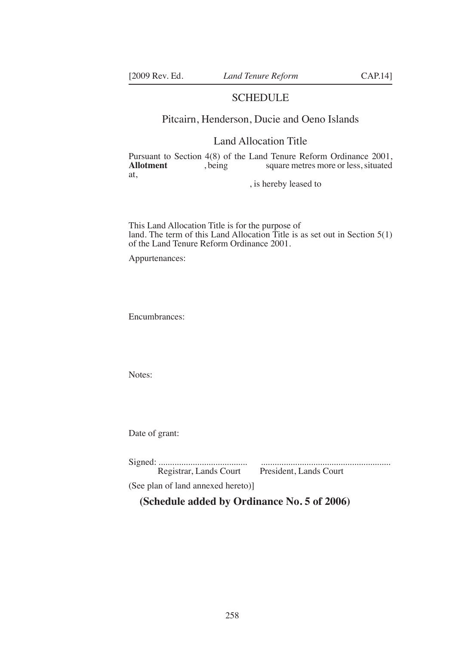## SCHEDULE

# Pitcairn, Henderson, Ducie and Oeno Islands

## Land Allocation Title

Pursuant to Section 4(8) of the Land Tenure Reform Ordinance 2001, square metres more or less, situated at,

, is hereby leased to

This Land Allocation Title is for the purpose of land. The term of this Land Allocation Title is as set out in Section 5(1) of the Land Tenure Reform Ordinance 2001.

Appurtenances:

Encumbrances:

Notes:

Date of grant:

| Registrar, Lands Court | President, Lands Court |
|------------------------|------------------------|
|                        |                        |

(See plan of land annexed hereto)]

**(Schedule added by Ordinance No. 5 of 2006)**